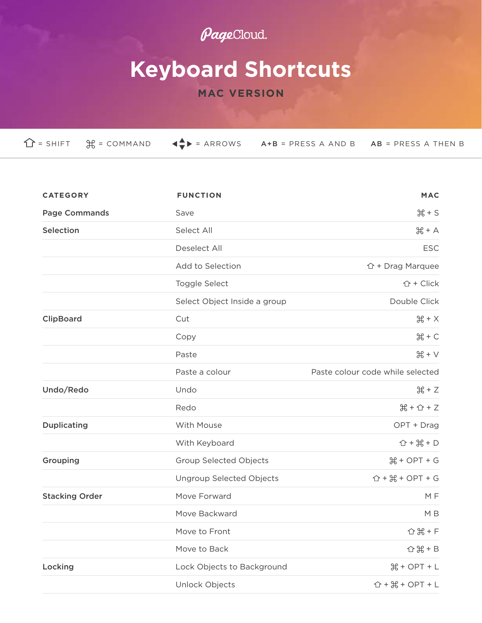## PageCloud.

## **Keyboard Shortcuts**

## **MAC VERSION**

| <b>CATEGORY</b>       | <b>FUNCTION</b>                 | <b>MAC</b>                                                         |
|-----------------------|---------------------------------|--------------------------------------------------------------------|
| <b>Page Commands</b>  | Save                            | $H + S$                                                            |
| Selection             | Select All                      | $H + A$                                                            |
|                       | Deselect All                    | <b>ESC</b>                                                         |
|                       | Add to Selection                | $\hat{U}$ + Drag Marquee                                           |
|                       | Toggle Select                   | ↑ + Click                                                          |
|                       | Select Object Inside a group    | Double Click                                                       |
| ClipBoard             | Cut                             | $H + X$                                                            |
|                       | Copy                            | $H + C$                                                            |
|                       | Paste                           | $H + V$                                                            |
|                       | Paste a colour                  | Paste colour code while selected                                   |
| Undo/Redo             | Undo                            | $H + Z$                                                            |
|                       | Redo                            | $H + G + Z$                                                        |
| <b>Duplicating</b>    | With Mouse                      | OPT + Drag                                                         |
|                       | With Keyboard                   | $\hat{D} + \frac{1}{2} + D$                                        |
| Grouping              | <b>Group Selected Objects</b>   | $H + OPT + G$                                                      |
|                       | <b>Ungroup Selected Objects</b> | $\hat{D}$ + $\frac{100}{100}$ + OPT + G                            |
| <b>Stacking Order</b> | Move Forward                    | MF                                                                 |
|                       | Move Backward                   | M B                                                                |
|                       | Move to Front                   | <b>☆ 米 + F</b>                                                     |
|                       | Move to Back                    | $Q + B$                                                            |
| Locking               | Lock Objects to Background      | $H + OPT + L$                                                      |
|                       | Unlock Objects                  | $\hat{U}$ + $\frac{11}{100}$ + $\frac{11}{100}$ + $\frac{11}{100}$ |